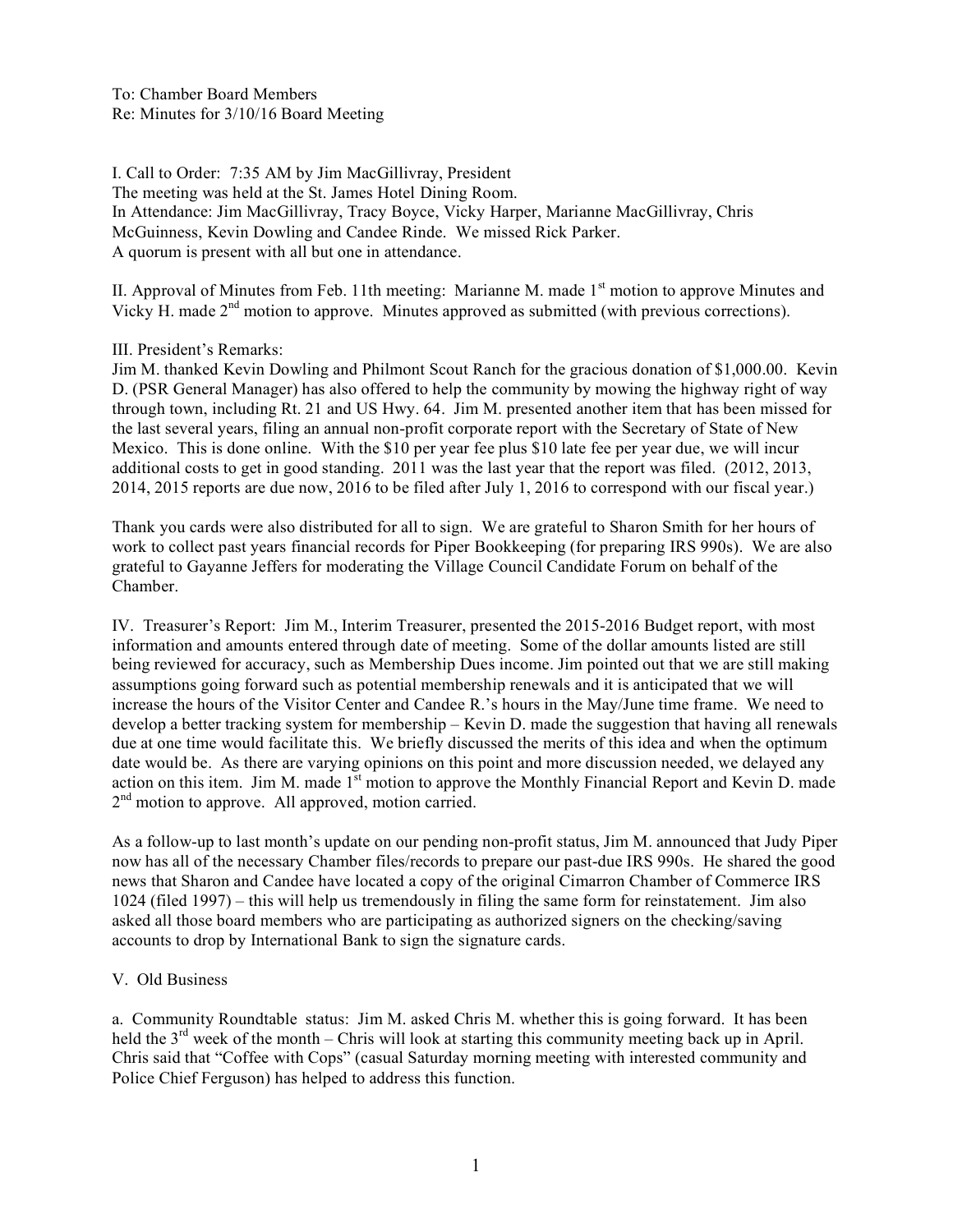To: Chamber Board Members Re: Minutes for 3/10/16 Board Meeting

I. Call to Order: 7:35 AM by Jim MacGillivray, President The meeting was held at the St. James Hotel Dining Room. In Attendance: Jim MacGillivray, Tracy Boyce, Vicky Harper, Marianne MacGillivray, Chris McGuinness, Kevin Dowling and Candee Rinde. We missed Rick Parker. A quorum is present with all but one in attendance.

II. Approval of Minutes from Feb. 11th meeting: Marianne M. made  $1<sup>st</sup>$  motion to approve Minutes and Vicky H. made  $2<sup>nd</sup>$  motion to approve. Minutes approved as submitted (with previous corrections).

III. President's Remarks:

Jim M. thanked Kevin Dowling and Philmont Scout Ranch for the gracious donation of \$1,000.00. Kevin D. (PSR General Manager) has also offered to help the community by mowing the highway right of way through town, including Rt. 21 and US Hwy. 64. Jim M. presented another item that has been missed for the last several years, filing an annual non-profit corporate report with the Secretary of State of New Mexico. This is done online. With the \$10 per year fee plus \$10 late fee per year due, we will incur additional costs to get in good standing. 2011 was the last year that the report was filed. (2012, 2013, 2014, 2015 reports are due now, 2016 to be filed after July 1, 2016 to correspond with our fiscal year.)

Thank you cards were also distributed for all to sign. We are grateful to Sharon Smith for her hours of work to collect past years financial records for Piper Bookkeeping (for preparing IRS 990s). We are also grateful to Gayanne Jeffers for moderating the Village Council Candidate Forum on behalf of the Chamber.

IV. Treasurer's Report: Jim M., Interim Treasurer, presented the 2015-2016 Budget report, with most information and amounts entered through date of meeting. Some of the dollar amounts listed are still being reviewed for accuracy, such as Membership Dues income. Jim pointed out that we are still making assumptions going forward such as potential membership renewals and it is anticipated that we will increase the hours of the Visitor Center and Candee R.'s hours in the May/June time frame. We need to develop a better tracking system for membership – Kevin D. made the suggestion that having all renewals due at one time would facilitate this. We briefly discussed the merits of this idea and when the optimum date would be. As there are varying opinions on this point and more discussion needed, we delayed any action on this item. Jim M. made 1<sup>st</sup> motion to approve the Monthly Financial Report and Kevin D. made 2<sup>nd</sup> motion to approve. All approved, motion carried.

As a follow-up to last month's update on our pending non-profit status, Jim M. announced that Judy Piper now has all of the necessary Chamber files/records to prepare our past-due IRS 990s. He shared the good news that Sharon and Candee have located a copy of the original Cimarron Chamber of Commerce IRS 1024 (filed 1997) – this will help us tremendously in filing the same form for reinstatement. Jim also asked all those board members who are participating as authorized signers on the checking/saving accounts to drop by International Bank to sign the signature cards.

#### V. Old Business

a. Community Roundtable status: Jim M. asked Chris M. whether this is going forward. It has been held the  $3<sup>rd</sup>$  week of the month – Chris will look at starting this community meeting back up in April. Chris said that "Coffee with Cops" (casual Saturday morning meeting with interested community and Police Chief Ferguson) has helped to address this function.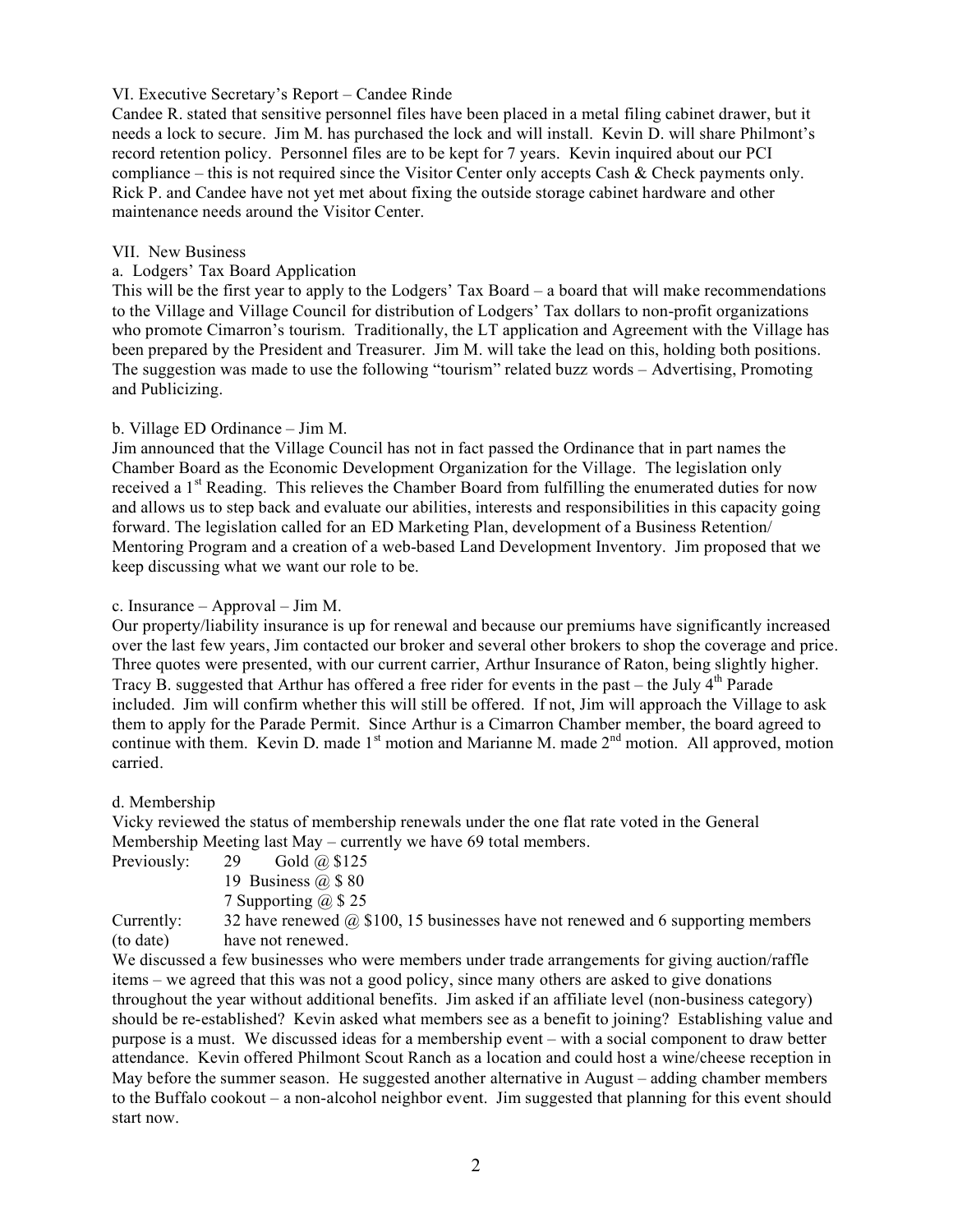## VI. Executive Secretary's Report – Candee Rinde

Candee R. stated that sensitive personnel files have been placed in a metal filing cabinet drawer, but it needs a lock to secure. Jim M. has purchased the lock and will install. Kevin D. will share Philmont's record retention policy. Personnel files are to be kept for 7 years. Kevin inquired about our PCI compliance – this is not required since the Visitor Center only accepts Cash & Check payments only. Rick P. and Candee have not yet met about fixing the outside storage cabinet hardware and other maintenance needs around the Visitor Center.

#### VII. New Business

## a. Lodgers' Tax Board Application

This will be the first year to apply to the Lodgers' Tax Board – a board that will make recommendations to the Village and Village Council for distribution of Lodgers' Tax dollars to non-profit organizations who promote Cimarron's tourism. Traditionally, the LT application and Agreement with the Village has been prepared by the President and Treasurer. Jim M. will take the lead on this, holding both positions. The suggestion was made to use the following "tourism" related buzz words – Advertising, Promoting and Publicizing.

# b. Village ED Ordinance – Jim M.

Jim announced that the Village Council has not in fact passed the Ordinance that in part names the Chamber Board as the Economic Development Organization for the Village. The legislation only received a 1<sup>st</sup> Reading. This relieves the Chamber Board from fulfilling the enumerated duties for now and allows us to step back and evaluate our abilities, interests and responsibilities in this capacity going forward. The legislation called for an ED Marketing Plan, development of a Business Retention/ Mentoring Program and a creation of a web-based Land Development Inventory. Jim proposed that we keep discussing what we want our role to be.

#### c. Insurance – Approval – Jim M.

Our property/liability insurance is up for renewal and because our premiums have significantly increased over the last few years, Jim contacted our broker and several other brokers to shop the coverage and price. Three quotes were presented, with our current carrier, Arthur Insurance of Raton, being slightly higher. Tracy B. suggested that Arthur has offered a free rider for events in the past – the July  $4<sup>th</sup>$  Parade included. Jim will confirm whether this will still be offered. If not, Jim will approach the Village to ask them to apply for the Parade Permit. Since Arthur is a Cimarron Chamber member, the board agreed to continue with them. Kevin D. made  $1<sup>st</sup>$  motion and Marianne M. made  $2<sup>nd</sup>$  motion. All approved, motion carried.

#### d. Membership

Vicky reviewed the status of membership renewals under the one flat rate voted in the General Membership Meeting last May – currently we have 69 total members.

- Previously:  $29$  Gold  $\omega$  \$125
	- 19 Business  $(a)$  \$ 80
	- 7 Supporting @ \$ 25

Currently: 32 have renewed  $\omega$  \$100, 15 businesses have not renewed and 6 supporting members (to date) have not renewed.

We discussed a few businesses who were members under trade arrangements for giving auction/raffle items – we agreed that this was not a good policy, since many others are asked to give donations throughout the year without additional benefits. Jim asked if an affiliate level (non-business category) should be re-established? Kevin asked what members see as a benefit to joining? Establishing value and purpose is a must. We discussed ideas for a membership event – with a social component to draw better attendance. Kevin offered Philmont Scout Ranch as a location and could host a wine/cheese reception in May before the summer season. He suggested another alternative in August – adding chamber members to the Buffalo cookout – a non-alcohol neighbor event. Jim suggested that planning for this event should start now.